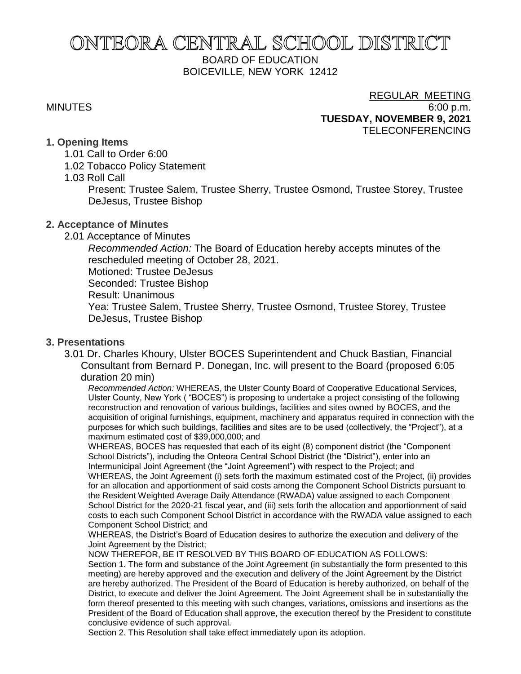# ONTEORA CENTRAL SCHOOL DISTRICT BOARD OF EDUCATION BOICEVILLE, NEW YORK 12412

#### REGULAR MEETING MINUTES 6:00 p.m. **TUESDAY, NOVEMBER 9, 2021** TELECONFERENCING

#### **1. Opening Items**

- 1.01 Call to Order 6:00
- 1.02 Tobacco Policy Statement
- 1.03 Roll Call

Present: Trustee Salem, Trustee Sherry, Trustee Osmond, Trustee Storey, Trustee DeJesus, Trustee Bishop

### **2. Acceptance of Minutes**

2.01 Acceptance of Minutes

*Recommended Action:* The Board of Education hereby accepts minutes of the rescheduled meeting of October 28, 2021. Motioned: Trustee DeJesus Seconded: Trustee Bishop

Result: Unanimous

Yea: Trustee Salem, Trustee Sherry, Trustee Osmond, Trustee Storey, Trustee DeJesus, Trustee Bishop

### **3. Presentations**

3.01 Dr. Charles Khoury, Ulster BOCES Superintendent and Chuck Bastian, Financial Consultant from Bernard P. Donegan, Inc. will present to the Board (proposed 6:05 duration 20 min)

*Recommended Action:* WHEREAS, the Ulster County Board of Cooperative Educational Services, Ulster County, New York ( "BOCES") is proposing to undertake a project consisting of the following reconstruction and renovation of various buildings, facilities and sites owned by BOCES, and the acquisition of original furnishings, equipment, machinery and apparatus required in connection with the purposes for which such buildings, facilities and sites are to be used (collectively, the "Project"), at a maximum estimated cost of \$39,000,000; and

WHEREAS, BOCES has requested that each of its eight (8) component district (the "Component School Districts"), including the Onteora Central School District (the "District"), enter into an Intermunicipal Joint Agreement (the "Joint Agreement") with respect to the Project; and WHEREAS, the Joint Agreement (i) sets forth the maximum estimated cost of the Project, (ii) provides for an allocation and apportionment of said costs among the Component School Districts pursuant to the Resident Weighted Average Daily Attendance (RWADA) value assigned to each Component School District for the 2020-21 fiscal year, and (iii) sets forth the allocation and apportionment of said costs to each such Component School District in accordance with the RWADA value assigned to each Component School District; and

WHEREAS, the District's Board of Education desires to authorize the execution and delivery of the Joint Agreement by the District;

NOW THEREFOR, BE IT RESOLVED BY THIS BOARD OF EDUCATION AS FOLLOWS: Section 1. The form and substance of the Joint Agreement (in substantially the form presented to this meeting) are hereby approved and the execution and delivery of the Joint Agreement by the District are hereby authorized. The President of the Board of Education is hereby authorized, on behalf of the District, to execute and deliver the Joint Agreement. The Joint Agreement shall be in substantially the form thereof presented to this meeting with such changes, variations, omissions and insertions as the President of the Board of Education shall approve, the execution thereof by the President to constitute conclusive evidence of such approval.

Section 2. This Resolution shall take effect immediately upon its adoption.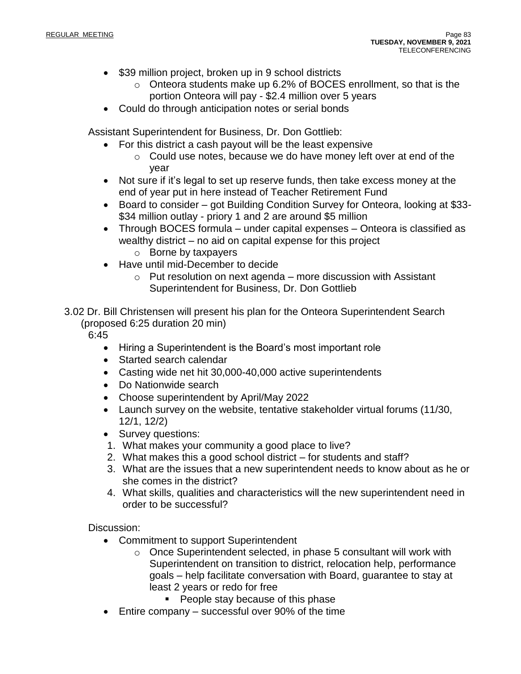- \$39 million project, broken up in 9 school districts
	- o Onteora students make up 6.2% of BOCES enrollment, so that is the portion Onteora will pay - \$2.4 million over 5 years
- Could do through anticipation notes or serial bonds

Assistant Superintendent for Business, Dr. Don Gottlieb:

- For this district a cash payout will be the least expensive
	- $\circ$  Could use notes, because we do have money left over at end of the year
- Not sure if it's legal to set up reserve funds, then take excess money at the end of year put in here instead of Teacher Retirement Fund
- Board to consider got Building Condition Survey for Onteora, looking at \$33- \$34 million outlay - priory 1 and 2 are around \$5 million
- Through BOCES formula under capital expenses Onteora is classified as wealthy district – no aid on capital expense for this project
	- o Borne by taxpayers
- Have until mid-December to decide
	- $\circ$  Put resolution on next agenda more discussion with Assistant Superintendent for Business, Dr. Don Gottlieb
- 3.02 Dr. Bill Christensen will present his plan for the Onteora Superintendent Search (proposed 6:25 duration 20 min)

6:45

- Hiring a Superintendent is the Board's most important role
- Started search calendar
- Casting wide net hit 30,000-40,000 active superintendents
- Do Nationwide search
- Choose superintendent by April/May 2022
- Launch survey on the website, tentative stakeholder virtual forums (11/30, 12/1, 12/2)
- Survey questions:
- 1. What makes your community a good place to live?
- 2. What makes this a good school district for students and staff?
- 3. What are the issues that a new superintendent needs to know about as he or she comes in the district?
- 4. What skills, qualities and characteristics will the new superintendent need in order to be successful?

Discussion:

- Commitment to support Superintendent
	- o Once Superintendent selected, in phase 5 consultant will work with Superintendent on transition to district, relocation help, performance goals – help facilitate conversation with Board, guarantee to stay at least 2 years or redo for free
		- People stay because of this phase
- Entire company successful over 90% of the time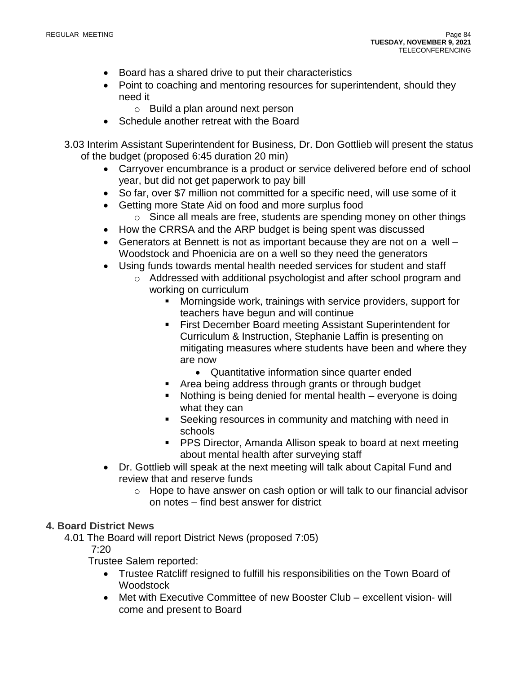- Board has a shared drive to put their characteristics
- Point to coaching and mentoring resources for superintendent, should they need it
	- o Build a plan around next person
- Schedule another retreat with the Board
- 3.03 Interim Assistant Superintendent for Business, Dr. Don Gottlieb will present the status of the budget (proposed 6:45 duration 20 min)
	- Carryover encumbrance is a product or service delivered before end of school year, but did not get paperwork to pay bill
	- So far, over \$7 million not committed for a specific need, will use some of it
	- Getting more State Aid on food and more surplus food
		- o Since all meals are free, students are spending money on other things
	- How the CRRSA and the ARP budget is being spent was discussed
	- Generators at Bennett is not as important because they are not on a well Woodstock and Phoenicia are on a well so they need the generators
	- Using funds towards mental health needed services for student and staff
		- o Addressed with additional psychologist and after school program and working on curriculum
			- Morningside work, trainings with service providers, support for teachers have begun and will continue
			- First December Board meeting Assistant Superintendent for Curriculum & Instruction, Stephanie Laffin is presenting on mitigating measures where students have been and where they are now
				- Quantitative information since quarter ended
			- Area being address through grants or through budget
			- Nothing is being denied for mental health everyone is doing what they can
			- Seeking resources in community and matching with need in schools
			- PPS Director, Amanda Allison speak to board at next meeting about mental health after surveying staff
	- Dr. Gottlieb will speak at the next meeting will talk about Capital Fund and review that and reserve funds
		- o Hope to have answer on cash option or will talk to our financial advisor on notes – find best answer for district

#### **4. Board District News**

4.01 The Board will report District News (proposed 7:05)

7:20

Trustee Salem reported:

- Trustee Ratcliff resigned to fulfill his responsibilities on the Town Board of **Woodstock**
- Met with Executive Committee of new Booster Club excellent vision- will come and present to Board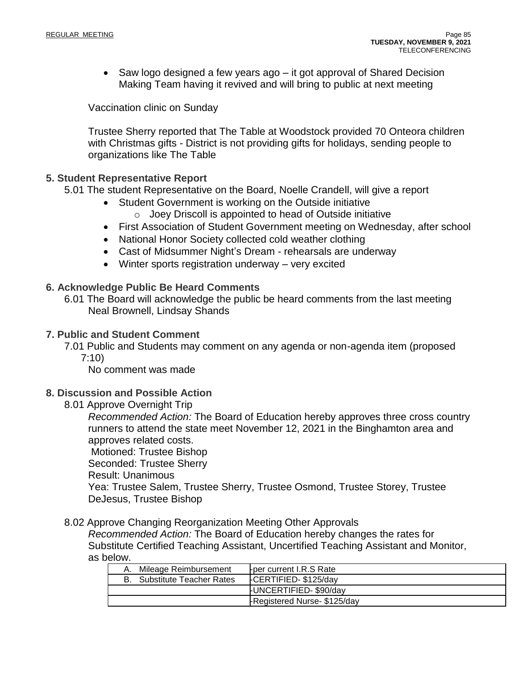• Saw logo designed a few years ago – it got approval of Shared Decision Making Team having it revived and will bring to public at next meeting

Vaccination clinic on Sunday

Trustee Sherry reported that The Table at Woodstock provided 70 Onteora children with Christmas gifts - District is not providing gifts for holidays, sending people to organizations like The Table

#### **5. Student Representative Report**

5.01 The student Representative on the Board, Noelle Crandell, will give a report

- Student Government is working on the Outside initiative
	- $\circ$  Joey Driscoll is appointed to head of Outside initiative
- First Association of Student Government meeting on Wednesday, after school
- National Honor Society collected cold weather clothing
- Cast of Midsummer Night's Dream rehearsals are underway
- Winter sports registration underway very excited

#### **6. Acknowledge Public Be Heard Comments**

6.01 The Board will acknowledge the public be heard comments from the last meeting Neal Brownell, Lindsay Shands

#### **7. Public and Student Comment**

7.01 Public and Students may comment on any agenda or non-agenda item (proposed 7:10)

No comment was made

### **8. Discussion and Possible Action**

8.01 Approve Overnight Trip

*Recommended Action:* The Board of Education hereby approves three cross country runners to attend the state meet November 12, 2021 in the Binghamton area and approves related costs.

Motioned: Trustee Bishop Seconded: Trustee Sherry

Result: Unanimous

Yea: Trustee Salem, Trustee Sherry, Trustee Osmond, Trustee Storey, Trustee DeJesus, Trustee Bishop

#### 8.02 Approve Changing Reorganization Meeting Other Approvals

*Recommended Action:* The Board of Education hereby changes the rates for Substitute Certified Teaching Assistant, Uncertified Teaching Assistant and Monitor, as below.

| A. Mileage Reimbursement           | Fper current I.R.S Rate      |
|------------------------------------|------------------------------|
| <b>B.</b> Substitute Teacher Rates | FCERTIFIED-\$125/day         |
|                                    | <b>FUNCERTIFIED-\$90/day</b> |
|                                    | -Registered Nurse- \$125/day |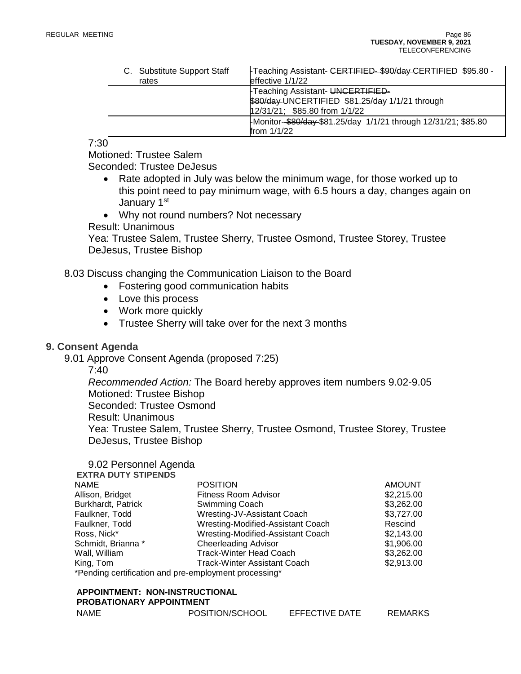| C. Substitute Support Staff | Freaching Assistant- CERTIFIED-\$90/day-CERTIFIED \$95.80 -   |
|-----------------------------|---------------------------------------------------------------|
| rates                       | effective 1/1/22                                              |
|                             | Feaching Assistant- UNCERTIFIED-                              |
|                             | \$80/day UNCERTIFIED \$81.25/day 1/1/21 through               |
|                             | 12/31/21; \$85.80 from 1/1/22                                 |
|                             | Monitor-\$80/day-\$81.25/day 1/1/21 through 12/31/21; \$85.80 |
|                             | from 1/1/22                                                   |

7:30

Motioned: Trustee Salem

Seconded: Trustee DeJesus

- Rate adopted in July was below the minimum wage, for those worked up to this point need to pay minimum wage, with 6.5 hours a day, changes again on January 1st
- Why not round numbers? Not necessary

#### Result: Unanimous

Yea: Trustee Salem, Trustee Sherry, Trustee Osmond, Trustee Storey, Trustee DeJesus, Trustee Bishop

8.03 Discuss changing the Communication Liaison to the Board

- Fostering good communication habits
- Love this process
- Work more quickly
- Trustee Sherry will take over for the next 3 months

#### **9. Consent Agenda**

9.01 Approve Consent Agenda (proposed 7:25)

7:40

*Recommended Action:* The Board hereby approves item numbers 9.02-9.05 Motioned: Trustee Bishop Seconded: Trustee Osmond Result: Unanimous Yea: Trustee Salem, Trustee Sherry, Trustee Osmond, Trustee Storey, Trustee

DeJesus, Trustee Bishop

## 9.02 Personnel Agenda

| <b>EXTRA DUTY STIPENDS</b> |                                                       |               |
|----------------------------|-------------------------------------------------------|---------------|
| <b>NAME</b>                | <b>POSITION</b>                                       | <b>AMOUNT</b> |
| Allison, Bridget           | <b>Fitness Room Advisor</b>                           | \$2,215.00    |
| Burkhardt, Patrick         | Swimming Coach                                        | \$3,262.00    |
| Faulkner, Todd             | Wresting-JV-Assistant Coach                           | \$3,727.00    |
| Faulkner, Todd             | Wresting-Modified-Assistant Coach                     | Rescind       |
| Ross, Nick*                | Wresting-Modified-Assistant Coach                     | \$2,143.00    |
| Schmidt, Brianna*          | <b>Cheerleading Advisor</b>                           | \$1,906.00    |
| Wall, William              | <b>Track-Winter Head Coach</b>                        | \$3,262.00    |
| King, Tom                  | <b>Track-Winter Assistant Coach</b>                   | \$2,913.00    |
|                            | *Pending certification and pre-employment processing* |               |

#### **APPOINTMENT: NON-INSTRUCTIONAL PROBATIONARY APPOINTMENT**

| <b>NAME</b> | POSITION/SCHOOL | <b>EFFECTIVE DATE</b> | <b>REMARKS</b> |
|-------------|-----------------|-----------------------|----------------|
|             |                 |                       |                |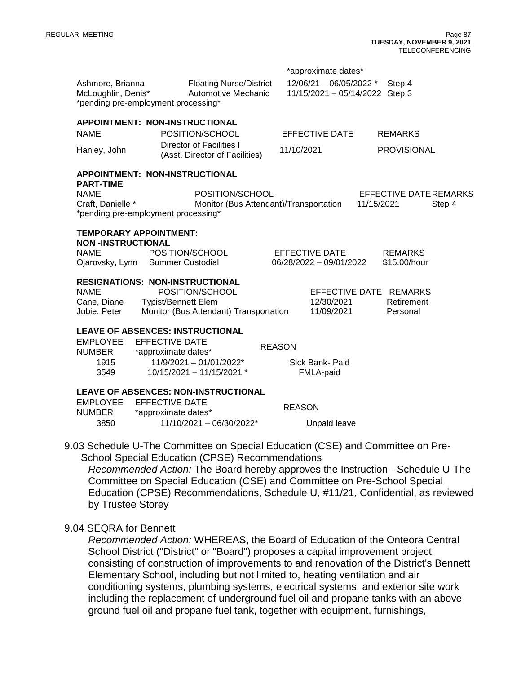|                                                                                             |                                                                                                                                                 | *approximate dates*                                  |                                                |  |  |
|---------------------------------------------------------------------------------------------|-------------------------------------------------------------------------------------------------------------------------------------------------|------------------------------------------------------|------------------------------------------------|--|--|
| Ashmore, Brianna<br>McLoughlin, Denis*<br>*pending pre-employment processing*               | <b>Floating Nurse/District</b><br><b>Automotive Mechanic</b>                                                                                    | $12/06/21 - 06/05/2022$ *<br>11/15/2021 - 05/14/2022 | Step 4<br>Step 3                               |  |  |
| APPOINTMENT: NON-INSTRUCTIONAL                                                              |                                                                                                                                                 |                                                      |                                                |  |  |
| <b>NAME</b>                                                                                 | POSITION/SCHOOL                                                                                                                                 | <b>EFFECTIVE DATE</b>                                | <b>REMARKS</b>                                 |  |  |
| Hanley, John                                                                                | <b>Director of Facilities I</b><br>(Asst. Director of Facilities)                                                                               | 11/10/2021                                           | <b>PROVISIONAL</b>                             |  |  |
| APPOINTMENT: NON-INSTRUCTIONAL<br><b>PART-TIME</b>                                          |                                                                                                                                                 |                                                      |                                                |  |  |
| <b>NAME</b><br>Craft, Danielle *<br>*pending pre-employment processing*                     | POSITION/SCHOOL<br>Monitor (Bus Attendant)/Transportation                                                                                       |                                                      | EFFECTIVE DATE REMARKS<br>11/15/2021<br>Step 4 |  |  |
| <b>TEMPORARY APPOINTMENT:</b><br><b>NON-INSTRUCTIONAL</b><br><b>NAME</b><br>Ojarovsky, Lynn | POSITION/SCHOOL<br><b>Summer Custodial</b>                                                                                                      | EFFECTIVE DATE<br>06/28/2022 - 09/01/2022            | <b>REMARKS</b><br>\$15.00/hour                 |  |  |
| <b>NAME</b><br>Cane, Diane<br>Jubie, Peter                                                  | <b>RESIGNATIONS: NON-INSTRUCTIONAL</b><br>POSITION/SCHOOL<br><b>Typist/Bennett Elem</b><br>Monitor (Bus Attendant) Transportation               | EFFECTIVE DATE REMARKS<br>12/30/2021<br>11/09/2021   | Retirement<br>Personal                         |  |  |
| <b>EMPLOYEE</b><br><b>NUMBER</b><br>1915<br>3549                                            | <b>LEAVE OF ABSENCES: INSTRUCTIONAL</b><br><b>EFFECTIVE DATE</b><br>*approximate dates*<br>11/9/2021 - 01/01/2022*<br>10/15/2021 - 11/15/2021 * | <b>REASON</b><br>Sick Bank- Paid<br>FMLA-paid        |                                                |  |  |
| <b>EMPLOYEE</b><br><b>NUMBER</b><br>3850                                                    | <b>LEAVE OF ABSENCES: NON-INSTRUCTIONAL</b><br><b>EFFECTIVE DATE</b><br>*approximate dates*<br>11/10/2021 - 06/30/2022*                         | <b>REASON</b><br>Unpaid leave                        |                                                |  |  |

9.03 Schedule U-The Committee on Special Education (CSE) and Committee on Pre-School Special Education (CPSE) Recommendations

*Recommended Action:* The Board hereby approves the Instruction - Schedule U-The Committee on Special Education (CSE) and Committee on Pre-School Special Education (CPSE) Recommendations, Schedule U, #11/21, Confidential, as reviewed by Trustee Storey

#### 9.04 SEQRA for Bennett

*Recommended Action:* WHEREAS, the Board of Education of the Onteora Central School District ("District" or "Board") proposes a capital improvement project consisting of construction of improvements to and renovation of the District's Bennett Elementary School, including but not limited to, heating ventilation and air conditioning systems, plumbing systems, electrical systems, and exterior site work including the replacement of underground fuel oil and propane tanks with an above ground fuel oil and propane fuel tank, together with equipment, furnishings,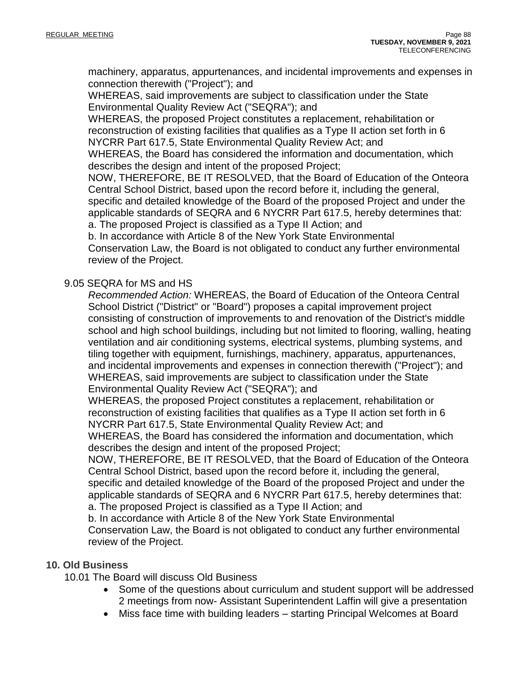machinery, apparatus, appurtenances, and incidental improvements and expenses in connection therewith ("Project"); and

WHEREAS, said improvements are subject to classification under the State Environmental Quality Review Act ("SEQRA"); and

WHEREAS, the proposed Project constitutes a replacement, rehabilitation or reconstruction of existing facilities that qualifies as a Type II action set forth in 6 NYCRR Part 617.5, State Environmental Quality Review Act; and

WHEREAS, the Board has considered the information and documentation, which describes the design and intent of the proposed Project;

NOW, THEREFORE, BE IT RESOLVED, that the Board of Education of the Onteora Central School District, based upon the record before it, including the general, specific and detailed knowledge of the Board of the proposed Project and under the applicable standards of SEQRA and 6 NYCRR Part 617.5, hereby determines that:

a. The proposed Project is classified as a Type II Action; and

b. In accordance with Article 8 of the New York State Environmental Conservation Law, the Board is not obligated to conduct any further environmental

review of the Project.

#### 9.05 SEQRA for MS and HS

*Recommended Action:* WHEREAS, the Board of Education of the Onteora Central School District ("District" or "Board") proposes a capital improvement project consisting of construction of improvements to and renovation of the District's middle school and high school buildings, including but not limited to flooring, walling, heating ventilation and air conditioning systems, electrical systems, plumbing systems, and tiling together with equipment, furnishings, machinery, apparatus, appurtenances, and incidental improvements and expenses in connection therewith ("Project"); and WHEREAS, said improvements are subject to classification under the State Environmental Quality Review Act ("SEQRA"); and

WHEREAS, the proposed Project constitutes a replacement, rehabilitation or reconstruction of existing facilities that qualifies as a Type II action set forth in 6 NYCRR Part 617.5, State Environmental Quality Review Act; and

WHEREAS, the Board has considered the information and documentation, which describes the design and intent of the proposed Project;

NOW, THEREFORE, BE IT RESOLVED, that the Board of Education of the Onteora Central School District, based upon the record before it, including the general, specific and detailed knowledge of the Board of the proposed Project and under the applicable standards of SEQRA and 6 NYCRR Part 617.5, hereby determines that: a. The proposed Project is classified as a Type II Action; and

b. In accordance with Article 8 of the New York State Environmental Conservation Law, the Board is not obligated to conduct any further environmental review of the Project.

#### **10. Old Business**

10.01 The Board will discuss Old Business

- Some of the questions about curriculum and student support will be addressed 2 meetings from now- Assistant Superintendent Laffin will give a presentation
- Miss face time with building leaders starting Principal Welcomes at Board